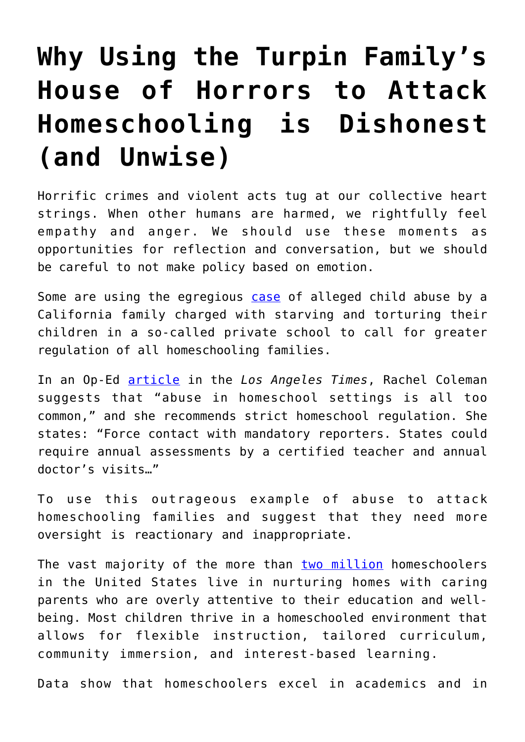## **[Why Using the Turpin Family's](https://intellectualtakeout.org/2018/01/why-using-the-turpin-familys-house-of-horrors-to-attack-homeschooling-is-dishonest-and-unwise/) [House of Horrors to Attack](https://intellectualtakeout.org/2018/01/why-using-the-turpin-familys-house-of-horrors-to-attack-homeschooling-is-dishonest-and-unwise/) [Homeschooling is Dishonest](https://intellectualtakeout.org/2018/01/why-using-the-turpin-familys-house-of-horrors-to-attack-homeschooling-is-dishonest-and-unwise/) [\(and Unwise\)](https://intellectualtakeout.org/2018/01/why-using-the-turpin-familys-house-of-horrors-to-attack-homeschooling-is-dishonest-and-unwise/)**

Horrific crimes and violent acts tug at our collective heart strings. When other humans are harmed, we rightfully feel empathy and anger. We should use these moments as opportunities for reflection and conversation, but we should be careful to not make policy based on emotion.

Some are using the egregious [case](http://www.cnn.com/2018/01/17/us/california-turpin-home-schooling/index.html) of alleged child abuse by a California family charged with starving and torturing their children in a so-called private school to call for greater regulation of all homeschooling families.

In an Op-Ed [article](http://www.latimes.com/opinion/op-ed/la-oe-coleman-brightbill-turpin-homeschool-abuse-20180117-story.html) in the *Los Angeles Times*, Rachel Coleman suggests that "abuse in homeschool settings is all too common," and she recommends strict homeschool regulation. She states: "Force contact with mandatory reporters. States could require annual assessments by a certified teacher and annual doctor's visits…"

To use this outrageous example of abuse to attack homeschooling families and suggest that they need more oversight is reactionary and inappropriate.

The vast majority of the more than [two million](https://www.nheri.org/research-facts-on-homeschooling/) homeschoolers in the United States live in nurturing homes with caring parents who are overly attentive to their education and wellbeing. Most children thrive in a homeschooled environment that allows for flexible instruction, tailored curriculum, community immersion, and interest-based learning.

Data show that homeschoolers excel in academics and in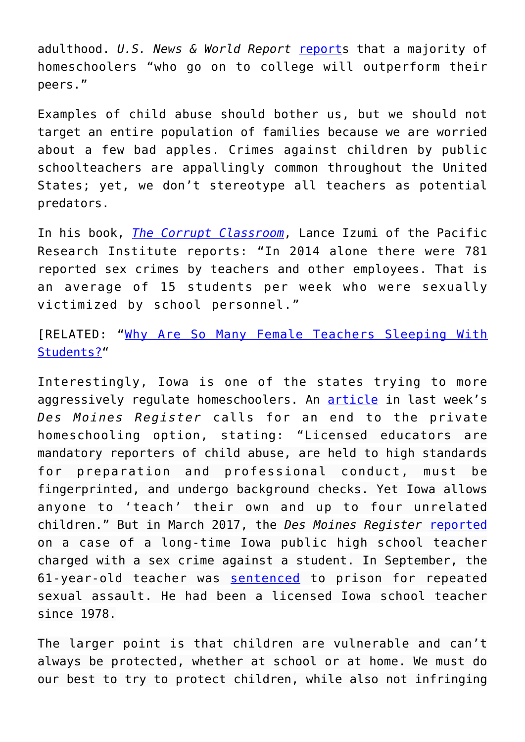adulthood. *U.S. News & World Report* [report](https://www.usnews.com/education/high-schools/articles/2012/06/01/home-schooled-teens-ripe-for-college)s that a majority of homeschoolers "who go on to college will outperform their peers."

Examples of child abuse should bother us, but we should not target an entire population of families because we are worried about a few bad apples. Crimes against children by public schoolteachers are appallingly common throughout the United States; yet, we don't stereotype all teachers as potential predators.

In his book, *[The Corrupt Classroom](https://www.amazon.com/Corrupt-Classroom-Indoctrination-Violence-Engineering/dp/1934276359/ref=as_li_ss_tl?ie=UTF8&qid=1502138344&sr=8-1&keywords=The+Corrupt+Classroom&linkCode=sl1&tag=intelltakeo0d-20&linkId=6d2b8950e269a98da50284c955a9a479)*, Lance Izumi of the Pacific Research Institute reports: "In 2014 alone there were 781 reported sex crimes by teachers and other employees. That is an average of 15 students per week who were sexually victimized by school personnel."

[RELATED: "[Why Are So Many Female Teachers Sleeping With](http://Here is the FBI) [Students?"](http://Here is the FBI)

Interestingly, Iowa is one of the states trying to more aggressively regulate homeschoolers. An [article](https://www.desmoinesregister.com/story/opinion/columnists/iowa-view/2018/01/19/iowa-should-end-independent-private-instruction/1041666001/) in last week's *Des Moines Register* calls for an end to the private homeschooling option, stating: "Licensed educators are mandatory reporters of child abuse, are held to high standards for preparation and professional conduct, must be fingerprinted, and undergo background checks. Yet Iowa allows anyone to 'teach' their own and up to four unrelated children." But in March 2017, the *Des Moines Register* [reported](https://www.desmoinesregister.com/story/news/crime-and-courts/2017/03/28/reports-iowa-high-school-teacher-charged-sex-crime/99723532/) on a case of a long-time Iowa public high school teacher charged with a sex crime against a student. In September, the 61-year-old teacher was [sentenced](http://kniakrls.com/2017/09/former-twin-cedars-high-school-teacher-sentenced-for-sexual-exploitation-by-a-school-employee/) to prison for repeated sexual assault. He had been a licensed Iowa school teacher since 1978.

The larger point is that children are vulnerable and can't always be protected, whether at school or at home. We must do our best to try to protect children, while also not infringing